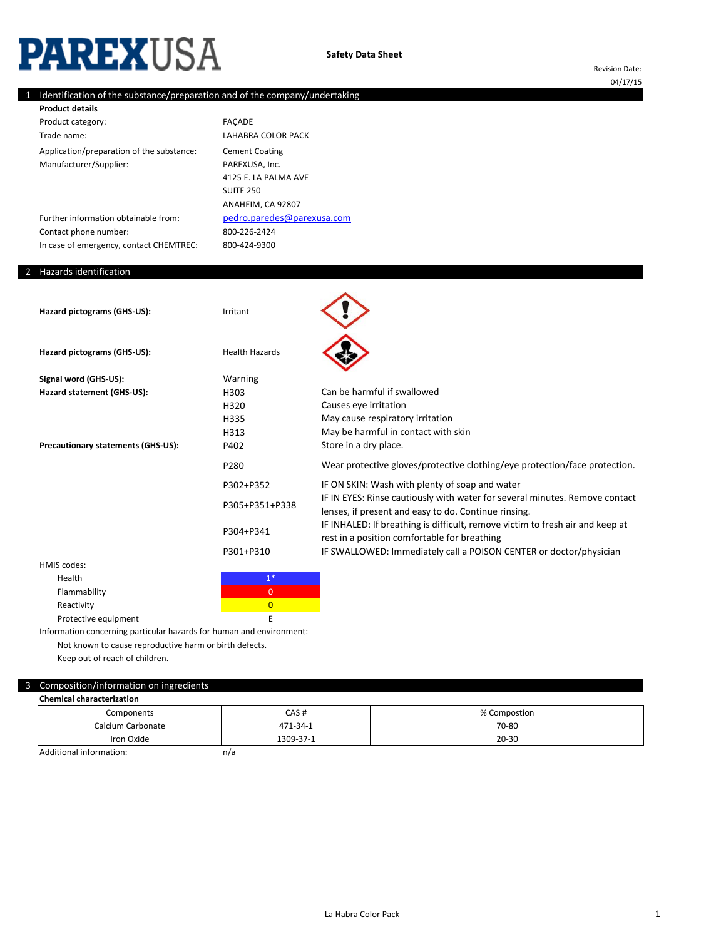# **PAREXUSA**

# 1 Identification of the substance/preparation and of the company/undertaking

800-226-2424

800-424-9300

| <b>Product details</b>                    |                            |
|-------------------------------------------|----------------------------|
| Product category:                         | <b>FACADE</b>              |
| Trade name:                               | LAHABRA COLOR PACK         |
| Application/preparation of the substance: | <b>Cement Coating</b>      |
| Manufacturer/Supplier:                    | PAREXUSA, Inc.             |
|                                           | 4125 E. LA PALMA AVE       |
|                                           | <b>SUITE 250</b>           |
|                                           | ANAHEIM, CA 92807          |
| Further information obtainable from:      | pedro.paredes@parexusa.com |

Further information obtainable from: Contact phone number: In case of emergency, contact CHEMTREC:

# 2 Hazards identification

| Hazard pictograms (GHS-US):        | Irritant              |                                                                                                                                     |
|------------------------------------|-----------------------|-------------------------------------------------------------------------------------------------------------------------------------|
| Hazard pictograms (GHS-US):        | <b>Health Hazards</b> |                                                                                                                                     |
| Signal word (GHS-US):              | Warning               |                                                                                                                                     |
| Hazard statement (GHS-US):         | H303                  | Can be harmful if swallowed                                                                                                         |
|                                    | H320                  | Causes eye irritation                                                                                                               |
|                                    | H335                  | May cause respiratory irritation                                                                                                    |
|                                    | H313                  | May be harmful in contact with skin                                                                                                 |
| Precautionary statements (GHS-US): | P402                  | Store in a dry place.                                                                                                               |
|                                    | P280                  | Wear protective gloves/protective clothing/eye protection/face protection.                                                          |
|                                    | P302+P352             | IF ON SKIN: Wash with plenty of soap and water                                                                                      |
|                                    | P305+P351+P338        | IF IN EYES: Rinse cautiously with water for several minutes. Remove contact<br>lenses, if present and easy to do. Continue rinsing. |
|                                    | P304+P341             | IF INHALED: If breathing is difficult, remove victim to fresh air and keep at<br>rest in a position comfortable for breathing       |
|                                    | P301+P310             | IF SWALLOWED: Immediately call a POISON CENTER or doctor/physician                                                                  |
|                                    |                       |                                                                                                                                     |

HMIS codes: Health and the state of the state of the state  $1^*$ Flammability **Department of the Contract of Contract O** Reactivity **Contractivity** and the contraction of the contraction of the contraction of the contraction of the contraction of the contraction of the contraction of the contraction of the contraction of the contraction of t Protective equipment E

Information concerning particular hazards for human and environment: Not known to cause reproductive harm or birth defects.

Keep out of reach of children.

# 3 Composition/information on ingredients

| <b>Chemical characterization</b> |           |              |
|----------------------------------|-----------|--------------|
| Components                       | CAS#      | % Compostion |
| Calcium Carbonate                | 471-34-1  | 70-80        |
| Iron Oxide                       | 1309-37-1 | $20 - 30$    |
| Additional information:          | $h^{1}$   |              |

Additional information:

n/a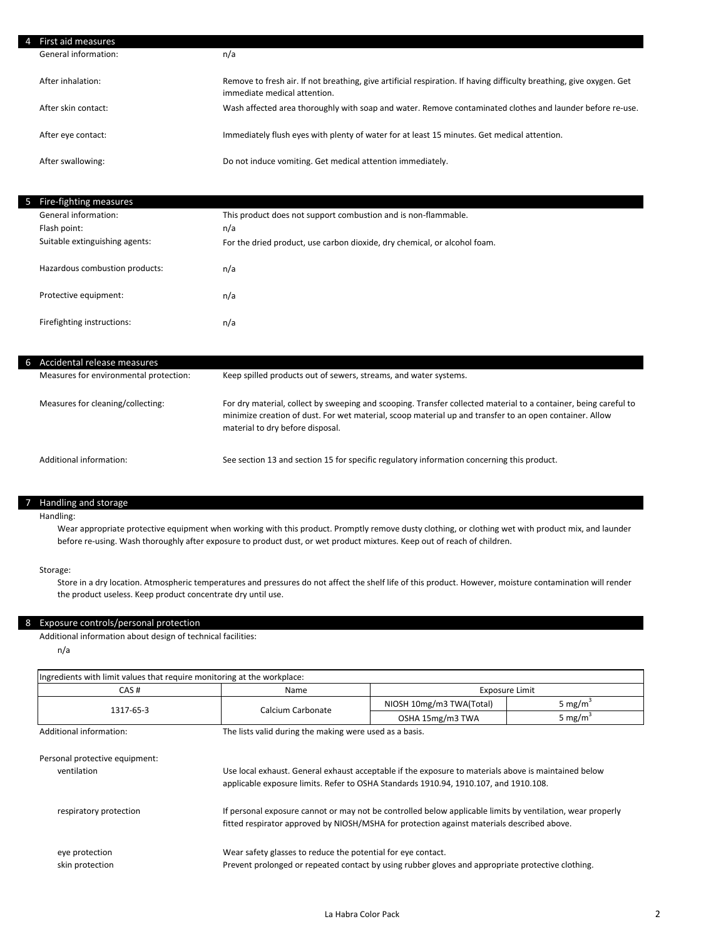| First aid measures   |                                                                                                                                                      |
|----------------------|------------------------------------------------------------------------------------------------------------------------------------------------------|
| General information: | n/a                                                                                                                                                  |
| After inhalation:    | Remove to fresh air. If not breathing, give artificial respiration. If having difficulty breathing, give oxygen. Get<br>immediate medical attention. |
| After skin contact:  | Wash affected area thoroughly with soap and water. Remove contaminated clothes and launder before re-use.                                            |
| After eye contact:   | Immediately flush eyes with plenty of water for at least 15 minutes. Get medical attention.                                                          |
| After swallowing:    | Do not induce vomiting. Get medical attention immediately.                                                                                           |

| Fire-fighting measures         |                                                                           |
|--------------------------------|---------------------------------------------------------------------------|
| General information:           | This product does not support combustion and is non-flammable.            |
| Flash point:                   | n/a                                                                       |
| Suitable extinguishing agents: | For the dried product, use carbon dioxide, dry chemical, or alcohol foam. |
|                                |                                                                           |
| Hazardous combustion products: | n/a                                                                       |
| Protective equipment:          | n/a                                                                       |
| Firefighting instructions:     | n/a                                                                       |

| h. | Accidental release measures            |                                                                                                                                                                                                                                                                 |
|----|----------------------------------------|-----------------------------------------------------------------------------------------------------------------------------------------------------------------------------------------------------------------------------------------------------------------|
|    | Measures for environmental protection: | Keep spilled products out of sewers, streams, and water systems.                                                                                                                                                                                                |
|    | Measures for cleaning/collecting:      | For dry material, collect by sweeping and scooping. Transfer collected material to a container, being careful to<br>minimize creation of dust. For wet material, scoop material up and transfer to an open container. Allow<br>material to dry before disposal. |
|    | Additional information:                | See section 13 and section 15 for specific regulatory information concerning this product.                                                                                                                                                                      |

# 7 Handling and storage

#### Handling:

Wear appropriate protective equipment when working with this product. Promptly remove dusty clothing, or clothing wet with product mix, and launder before re-using. Wash thoroughly after exposure to product dust, or wet product mixtures. Keep out of reach of children.

### Storage:

Store in a dry location. Atmospheric temperatures and pressures do not affect the shelf life of this product. However, moisture contamination will render the product useless. Keep product concentrate dry until use.

#### 8 Exposure controls/personal protection

Additional information about design of technical facilities:

n/a

| Ingredients with limit values that require monitoring at the workplace: |                                                                                                                                                                                                          |                          |                     |
|-------------------------------------------------------------------------|----------------------------------------------------------------------------------------------------------------------------------------------------------------------------------------------------------|--------------------------|---------------------|
| CAS#<br>Exposure Limit<br>Name                                          |                                                                                                                                                                                                          |                          |                     |
| 1317-65-3                                                               | Calcium Carbonate                                                                                                                                                                                        | NIOSH 10mg/m3 TWA(Total) | 5 mg/m <sup>3</sup> |
|                                                                         |                                                                                                                                                                                                          | OSHA 15mg/m3 TWA         | 5 mg/m <sup>3</sup> |
| Additional information:                                                 | The lists valid during the making were used as a basis.                                                                                                                                                  |                          |                     |
| Personal protective equipment:<br>ventilation                           | Use local exhaust. General exhaust acceptable if the exposure to materials above is maintained below<br>applicable exposure limits. Refer to OSHA Standards 1910.94, 1910.107, and 1910.108.             |                          |                     |
| respiratory protection                                                  | If personal exposure cannot or may not be controlled below applicable limits by ventilation, wear properly<br>fitted respirator approved by NIOSH/MSHA for protection against materials described above. |                          |                     |
| eye protection<br>skin protection                                       | Wear safety glasses to reduce the potential for eye contact.<br>Prevent prolonged or repeated contact by using rubber gloves and appropriate protective clothing.                                        |                          |                     |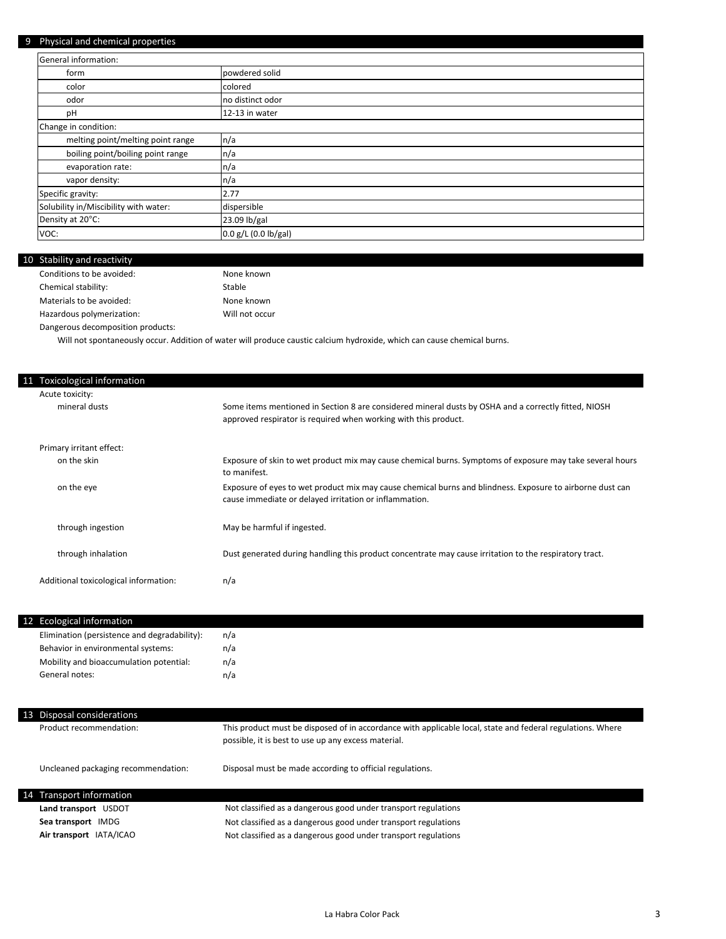# 9 Physical and chemical properties

| r riyardan dina circimicar properties |                      |  |
|---------------------------------------|----------------------|--|
| General information:                  |                      |  |
| form                                  | powdered solid       |  |
| color                                 | colored              |  |
| odor                                  | no distinct odor     |  |
| pH                                    | 12-13 in water       |  |
| Change in condition:                  |                      |  |
| melting point/melting point range     | n/a                  |  |
| boiling point/boiling point range     | n/a                  |  |
| evaporation rate:                     | n/a                  |  |
| vapor density:                        | n/a                  |  |
| Specific gravity:                     | 2.77                 |  |
| Solubility in/Miscibility with water: | dispersible          |  |
| Density at 20°C:                      | 23.09 lb/gal         |  |
| VOC:                                  | 0.0 g/L (0.0 lb/gal) |  |

#### 10 Stability and reactivity Conditions to be avoided: Chemical stability: Materials to be avoided: Hazardous polymerization: Dangerous decomposition products: Stable None known Will not occur None known

Will not spontaneously occur. Addition of water will produce caustic calcium hydroxide, which can cause chemical burns.

| 11 Toxicological information          |                                                                                                                                                                         |
|---------------------------------------|-------------------------------------------------------------------------------------------------------------------------------------------------------------------------|
| Acute toxicity:                       |                                                                                                                                                                         |
| mineral dusts                         | Some items mentioned in Section 8 are considered mineral dusts by OSHA and a correctly fitted, NIOSH<br>approved respirator is required when working with this product. |
| Primary irritant effect:              |                                                                                                                                                                         |
| on the skin                           | Exposure of skin to wet product mix may cause chemical burns. Symptoms of exposure may take several hours<br>to manifest.                                               |
| on the eye                            | Exposure of eyes to wet product mix may cause chemical burns and blindness. Exposure to airborne dust can<br>cause immediate or delayed irritation or inflammation.     |
| through ingestion                     | May be harmful if ingested.                                                                                                                                             |
| through inhalation                    | Dust generated during handling this product concentrate may cause irritation to the respiratory tract.                                                                  |
| Additional toxicological information: | n/a                                                                                                                                                                     |

| 12 Ecological information                    |     |
|----------------------------------------------|-----|
| Elimination (persistence and degradability): | n/a |
| Behavior in environmental systems:           | n/a |
| Mobility and bioaccumulation potential:      | n/a |
| General notes:                               | n/a |
|                                              |     |

| 13 Disposal considerations          |                                                                                                                                                                   |
|-------------------------------------|-------------------------------------------------------------------------------------------------------------------------------------------------------------------|
| Product recommendation:             | This product must be disposed of in accordance with applicable local, state and federal regulations. Where<br>possible, it is best to use up any excess material. |
| Uncleaned packaging recommendation: | Disposal must be made according to official regulations.                                                                                                          |
| 14 Transport information            |                                                                                                                                                                   |
| Land transport USDOT                | Not classified as a dangerous good under transport regulations                                                                                                    |
| Sea transport IMDG                  | Not classified as a dangerous good under transport regulations                                                                                                    |
| Air transport IATA/ICAO             | Not classified as a dangerous good under transport regulations                                                                                                    |
|                                     |                                                                                                                                                                   |